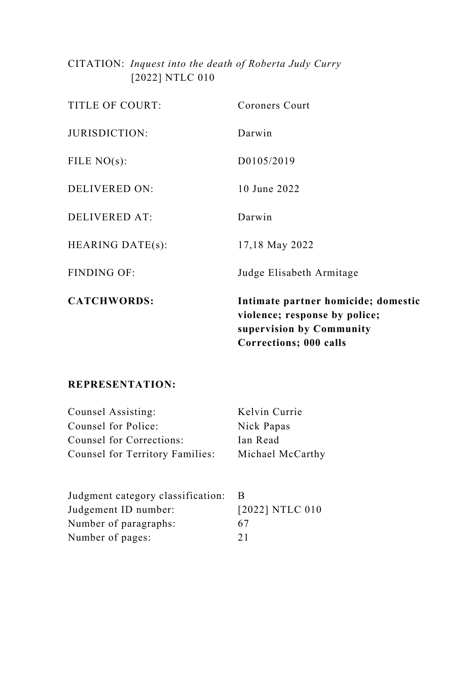CITATION: *Inquest into the death of Roberta Judy Curry* [2022] NTLC 010

|                         | violence; response by police;<br>supervision by Community<br><b>Corrections; 000 calls</b> |
|-------------------------|--------------------------------------------------------------------------------------------|
| <b>CATCHWORDS:</b>      | Intimate partner homicide; domestic                                                        |
| <b>FINDING OF:</b>      | Judge Elisabeth Armitage                                                                   |
| <b>HEARING DATE(s):</b> | 17,18 May 2022                                                                             |
| DELIVERED AT:           | Darwin                                                                                     |
| <b>DELIVERED ON:</b>    | 10 June 2022                                                                               |
| FILE $NO(s)$ :          | D0105/2019                                                                                 |
| JURISDICTION:           | Darwin                                                                                     |
| TITLE OF COURT:         | Coroners Court                                                                             |

# **REPRESENTATION:**

| Counsel Assisting:              | Kelvin Currie    |
|---------------------------------|------------------|
| Counsel for Police:             | Nick Papas       |
| Counsel for Corrections:        | Ian Read         |
| Counsel for Territory Families: | Michael McCarthy |

| Judgment category classification: |                 |
|-----------------------------------|-----------------|
| Judgement ID number:              | [2022] NTLC 010 |
| Number of paragraphs:             | 67              |
| Number of pages:                  | 21              |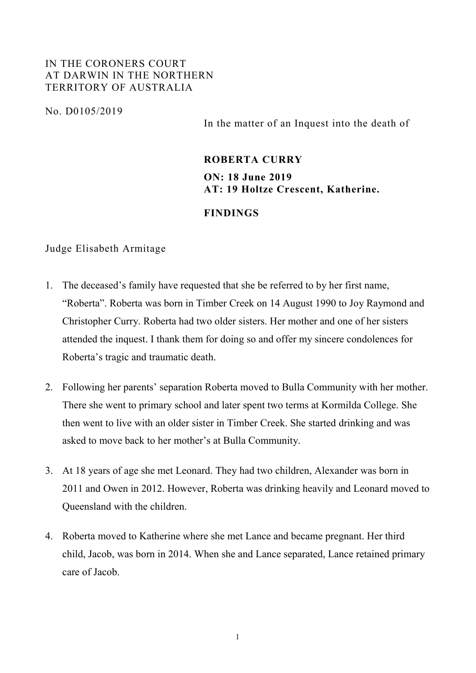## IN THE CORONERS COURT AT DARWIN IN THE NORTHERN TERRITORY OF AUSTRALIA

No. D0105/2019

In the matter of an Inquest into the death of

## **ROBERTA CURRY**

**ON: 18 June 2019 AT: 19 Holtze Crescent, Katherine.**

### **FINDINGS**

### Judge Elisabeth Armitage

- 1. The deceased's family have requested that she be referred to by her first name, "Roberta". Roberta was born in Timber Creek on 14 August 1990 to Joy Raymond and Christopher Curry. Roberta had two older sisters. Her mother and one of her sisters attended the inquest. I thank them for doing so and offer my sincere condolences for Roberta's tragic and traumatic death.
- 2. Following her parents' separation Roberta moved to Bulla Community with her mother. There she went to primary school and later spent two terms at Kormilda College. She then went to live with an older sister in Timber Creek. She started drinking and was asked to move back to her mother's at Bulla Community.
- 3. At 18 years of age she met Leonard. They had two children, Alexander was born in 2011 and Owen in 2012. However, Roberta was drinking heavily and Leonard moved to Queensland with the children.
- 4. Roberta moved to Katherine where she met Lance and became pregnant. Her third child, Jacob, was born in 2014. When she and Lance separated, Lance retained primary care of Jacob.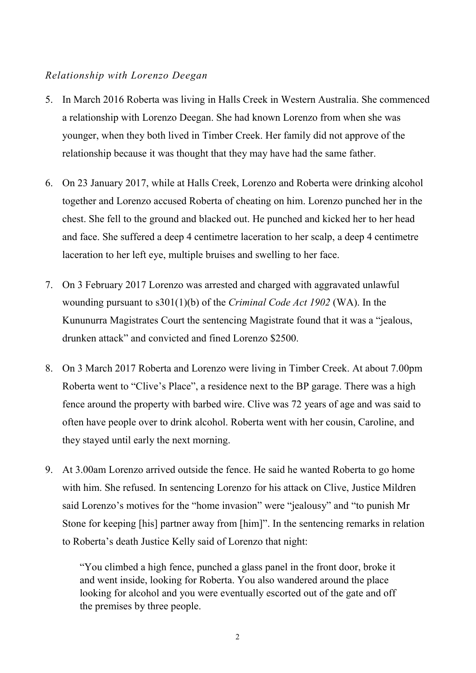# *Relationship with Lorenzo Deegan*

- 5. In March 2016 Roberta was living in Halls Creek in Western Australia. She commenced a relationship with Lorenzo Deegan. She had known Lorenzo from when she was younger, when they both lived in Timber Creek. Her family did not approve of the relationship because it was thought that they may have had the same father.
- 6. On 23 January 2017, while at Halls Creek, Lorenzo and Roberta were drinking alcohol together and Lorenzo accused Roberta of cheating on him. Lorenzo punched her in the chest. She fell to the ground and blacked out. He punched and kicked her to her head and face. She suffered a deep 4 centimetre laceration to her scalp, a deep 4 centimetre laceration to her left eye, multiple bruises and swelling to her face.
- 7. On 3 February 2017 Lorenzo was arrested and charged with aggravated unlawful wounding pursuant to s301(1)(b) of the *Criminal Code Act 1902* (WA). In the Kununurra Magistrates Court the sentencing Magistrate found that it was a "jealous, drunken attack" and convicted and fined Lorenzo \$2500.
- 8. On 3 March 2017 Roberta and Lorenzo were living in Timber Creek. At about 7.00pm Roberta went to "Clive's Place", a residence next to the BP garage. There was a high fence around the property with barbed wire. Clive was 72 years of age and was said to often have people over to drink alcohol. Roberta went with her cousin, Caroline, and they stayed until early the next morning.
- 9. At 3.00am Lorenzo arrived outside the fence. He said he wanted Roberta to go home with him. She refused. In sentencing Lorenzo for his attack on Clive, Justice Mildren said Lorenzo's motives for the "home invasion" were "jealousy" and "to punish Mr Stone for keeping [his] partner away from [him]". In the sentencing remarks in relation to Roberta's death Justice Kelly said of Lorenzo that night:

"You climbed a high fence, punched a glass panel in the front door, broke it and went inside, looking for Roberta. You also wandered around the place looking for alcohol and you were eventually escorted out of the gate and off the premises by three people.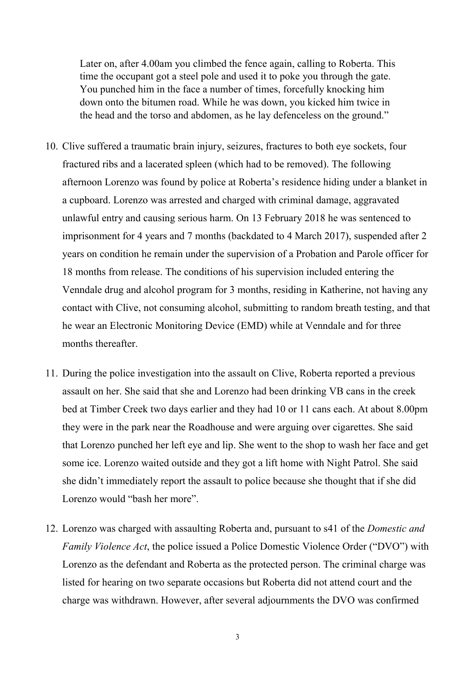Later on, after 4.00am you climbed the fence again, calling to Roberta. This time the occupant got a steel pole and used it to poke you through the gate. You punched him in the face a number of times, forcefully knocking him down onto the bitumen road. While he was down, you kicked him twice in the head and the torso and abdomen, as he lay defenceless on the ground."

- 10. Clive suffered a traumatic brain injury, seizures, fractures to both eye sockets, four fractured ribs and a lacerated spleen (which had to be removed). The following afternoon Lorenzo was found by police at Roberta's residence hiding under a blanket in a cupboard. Lorenzo was arrested and charged with criminal damage, aggravated unlawful entry and causing serious harm. On 13 February 2018 he was sentenced to imprisonment for 4 years and 7 months (backdated to 4 March 2017), suspended after 2 years on condition he remain under the supervision of a Probation and Parole officer for 18 months from release. The conditions of his supervision included entering the Venndale drug and alcohol program for 3 months, residing in Katherine, not having any contact with Clive, not consuming alcohol, submitting to random breath testing, and that he wear an Electronic Monitoring Device (EMD) while at Venndale and for three months thereafter.
- 11. During the police investigation into the assault on Clive, Roberta reported a previous assault on her. She said that she and Lorenzo had been drinking VB cans in the creek bed at Timber Creek two days earlier and they had 10 or 11 cans each. At about 8.00pm they were in the park near the Roadhouse and were arguing over cigarettes. She said that Lorenzo punched her left eye and lip. She went to the shop to wash her face and get some ice. Lorenzo waited outside and they got a lift home with Night Patrol. She said she didn't immediately report the assault to police because she thought that if she did Lorenzo would "bash her more".
- 12. Lorenzo was charged with assaulting Roberta and, pursuant to s41 of the *Domestic and Family Violence Act*, the police issued a Police Domestic Violence Order ("DVO") with Lorenzo as the defendant and Roberta as the protected person. The criminal charge was listed for hearing on two separate occasions but Roberta did not attend court and the charge was withdrawn. However, after several adjournments the DVO was confirmed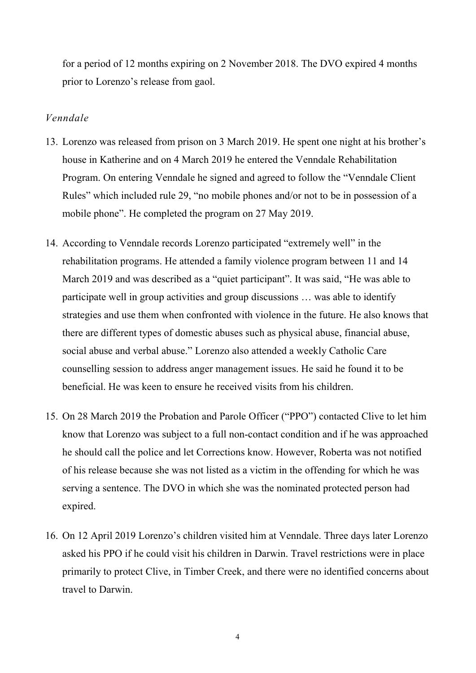for a period of 12 months expiring on 2 November 2018. The DVO expired 4 months prior to Lorenzo's release from gaol.

## *Venndale*

- 13. Lorenzo was released from prison on 3 March 2019. He spent one night at his brother's house in Katherine and on 4 March 2019 he entered the Venndale Rehabilitation Program. On entering Venndale he signed and agreed to follow the "Venndale Client Rules" which included rule 29, "no mobile phones and/or not to be in possession of a mobile phone". He completed the program on 27 May 2019.
- 14. According to Venndale records Lorenzo participated "extremely well" in the rehabilitation programs. He attended a family violence program between 11 and 14 March 2019 and was described as a "quiet participant". It was said, "He was able to participate well in group activities and group discussions … was able to identify strategies and use them when confronted with violence in the future. He also knows that there are different types of domestic abuses such as physical abuse, financial abuse, social abuse and verbal abuse." Lorenzo also attended a weekly Catholic Care counselling session to address anger management issues. He said he found it to be beneficial. He was keen to ensure he received visits from his children.
- 15. On 28 March 2019 the Probation and Parole Officer ("PPO") contacted Clive to let him know that Lorenzo was subject to a full non-contact condition and if he was approached he should call the police and let Corrections know. However, Roberta was not notified of his release because she was not listed as a victim in the offending for which he was serving a sentence. The DVO in which she was the nominated protected person had expired.
- 16. On 12 April 2019 Lorenzo's children visited him at Venndale. Three days later Lorenzo asked his PPO if he could visit his children in Darwin. Travel restrictions were in place primarily to protect Clive, in Timber Creek, and there were no identified concerns about travel to Darwin.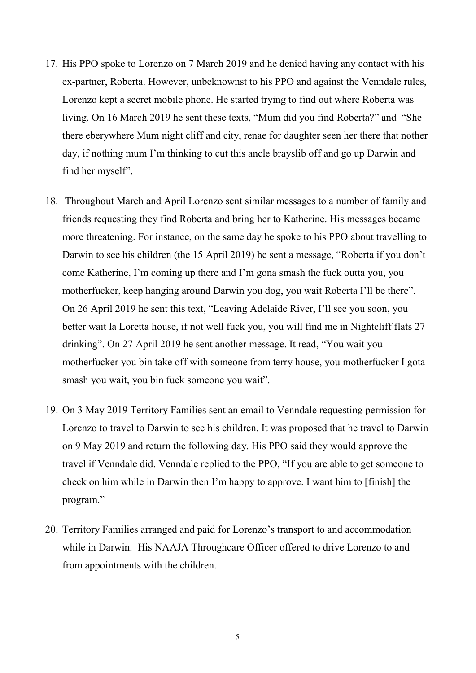- 17. His PPO spoke to Lorenzo on 7 March 2019 and he denied having any contact with his ex-partner, Roberta. However, unbeknownst to his PPO and against the Venndale rules, Lorenzo kept a secret mobile phone. He started trying to find out where Roberta was living. On 16 March 2019 he sent these texts, "Mum did you find Roberta?" and "She there eberywhere Mum night cliff and city, renae for daughter seen her there that nother day, if nothing mum I'm thinking to cut this ancle brayslib off and go up Darwin and find her myself".
- 18. Throughout March and April Lorenzo sent similar messages to a number of family and friends requesting they find Roberta and bring her to Katherine. His messages became more threatening. For instance, on the same day he spoke to his PPO about travelling to Darwin to see his children (the 15 April 2019) he sent a message, "Roberta if you don't come Katherine, I'm coming up there and I'm gona smash the fuck outta you, you motherfucker, keep hanging around Darwin you dog, you wait Roberta I'll be there". On 26 April 2019 he sent this text, "Leaving Adelaide River, I'll see you soon, you better wait la Loretta house, if not well fuck you, you will find me in Nightcliff flats 27 drinking". On 27 April 2019 he sent another message. It read, "You wait you motherfucker you bin take off with someone from terry house, you motherfucker I gota smash you wait, you bin fuck someone you wait".
- 19. On 3 May 2019 Territory Families sent an email to Venndale requesting permission for Lorenzo to travel to Darwin to see his children. It was proposed that he travel to Darwin on 9 May 2019 and return the following day. His PPO said they would approve the travel if Venndale did. Venndale replied to the PPO, "If you are able to get someone to check on him while in Darwin then I'm happy to approve. I want him to [finish] the program."
- 20. Territory Families arranged and paid for Lorenzo's transport to and accommodation while in Darwin. His NAAJA Throughcare Officer offered to drive Lorenzo to and from appointments with the children.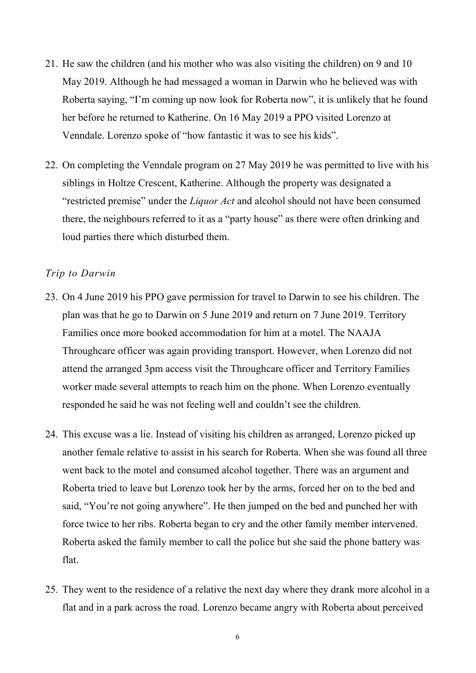- 21. He saw the children (and his mother who was also visiting the children) on 9 and 10 May 2019. Although he had messaged a woman in Darwin who he believed was with Roberta saying, "I'm coming up now look for Roberta now", it is unlikely that he found her before he returned to Katherine. On 16 May 2019 a PPO visited Lorenzo at Venndale. Lorenzo spoke of "how fantastic it was to see his kids".
- 22. On completing the Venndale program on 27 May 2019 he was permitted to live with his siblings in Holtze Crescent, Katherine. Although the property was designated a "restricted premise" under the *Liquor Act* and alcohol should not have been consumed there, the neighbours referred to it as a "party house" as there were often drinking and loud parties there which disturbed them.

#### *Trip to Darwin*

- 23. On 4 June 2019 his PPO gave permission for travel to Darwin to see his children. The plan was that he go to Darwin on 5 June 2019 and return on 7 June 2019. Territory Families once more booked accommodation for him at a motel. The NAAJA Throughcare officer was again providing transport. However, when Lorenzo did not attend the arranged 3pm access visit the Throughcare officer and Territory Families worker made several attempts to reach him on the phone. When Lorenzo eventually responded he said he was not feeling well and couldn't see the children.
- 24. This excuse was a lie. Instead of visiting his children as arranged, Lorenzo picked up another female relative to assist in his search for Roberta. When she was found all three went back to the motel and consumed alcohol together. There was an argument and Roberta tried to leave but Lorenzo took her by the arms, forced her on to the bed and said, "You're not going anywhere". He then jumped on the bed and punched her with force twice to her ribs. Roberta began to cry and the other family member intervened. Roberta asked the family member to call the police but she said the phone battery was flat.
- 25. They went to the residence of a relative the next day where they drank more alcohol in a flat and in a park across the road. Lorenzo became angry with Roberta about perceived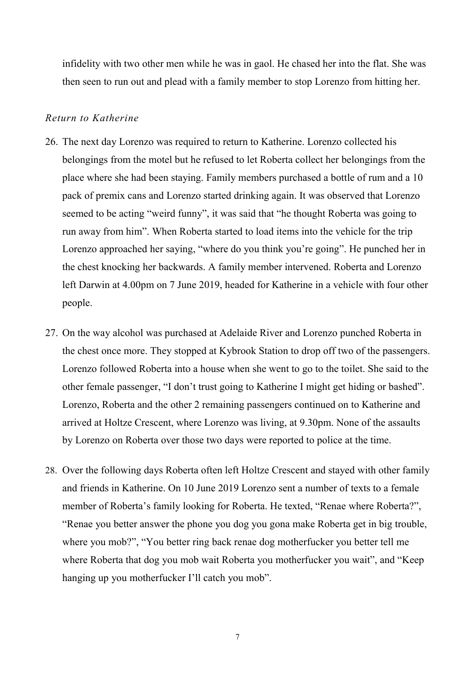infidelity with two other men while he was in gaol. He chased her into the flat. She was then seen to run out and plead with a family member to stop Lorenzo from hitting her.

### *Return to Katherine*

- 26. The next day Lorenzo was required to return to Katherine. Lorenzo collected his belongings from the motel but he refused to let Roberta collect her belongings from the place where she had been staying. Family members purchased a bottle of rum and a 10 pack of premix cans and Lorenzo started drinking again. It was observed that Lorenzo seemed to be acting "weird funny", it was said that "he thought Roberta was going to run away from him". When Roberta started to load items into the vehicle for the trip Lorenzo approached her saying, "where do you think you're going". He punched her in the chest knocking her backwards. A family member intervened. Roberta and Lorenzo left Darwin at 4.00pm on 7 June 2019, headed for Katherine in a vehicle with four other people.
- 27. On the way alcohol was purchased at Adelaide River and Lorenzo punched Roberta in the chest once more. They stopped at Kybrook Station to drop off two of the passengers. Lorenzo followed Roberta into a house when she went to go to the toilet. She said to the other female passenger, "I don't trust going to Katherine I might get hiding or bashed". Lorenzo, Roberta and the other 2 remaining passengers continued on to Katherine and arrived at Holtze Crescent, where Lorenzo was living, at 9.30pm. None of the assaults by Lorenzo on Roberta over those two days were reported to police at the time.
- 28. Over the following days Roberta often left Holtze Crescent and stayed with other family and friends in Katherine. On 10 June 2019 Lorenzo sent a number of texts to a female member of Roberta's family looking for Roberta. He texted, "Renae where Roberta?", "Renae you better answer the phone you dog you gona make Roberta get in big trouble, where you mob?", "You better ring back renae dog motherfucker you better tell me where Roberta that dog you mob wait Roberta you motherfucker you wait", and "Keep hanging up you motherfucker I'll catch you mob".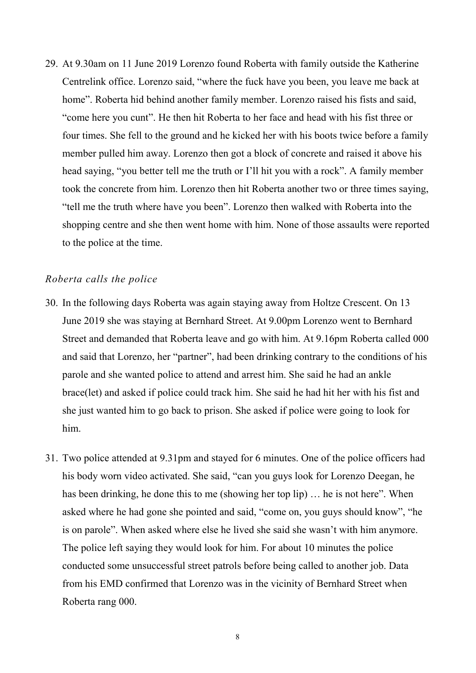29. At 9.30am on 11 June 2019 Lorenzo found Roberta with family outside the Katherine Centrelink office. Lorenzo said, "where the fuck have you been, you leave me back at home". Roberta hid behind another family member. Lorenzo raised his fists and said, "come here you cunt". He then hit Roberta to her face and head with his fist three or four times. She fell to the ground and he kicked her with his boots twice before a family member pulled him away. Lorenzo then got a block of concrete and raised it above his head saying, "you better tell me the truth or I'll hit you with a rock". A family member took the concrete from him. Lorenzo then hit Roberta another two or three times saying, "tell me the truth where have you been". Lorenzo then walked with Roberta into the shopping centre and she then went home with him. None of those assaults were reported to the police at the time.

## *Roberta calls the police*

- 30. In the following days Roberta was again staying away from Holtze Crescent. On 13 June 2019 she was staying at Bernhard Street. At 9.00pm Lorenzo went to Bernhard Street and demanded that Roberta leave and go with him. At 9.16pm Roberta called 000 and said that Lorenzo, her "partner", had been drinking contrary to the conditions of his parole and she wanted police to attend and arrest him. She said he had an ankle brace(let) and asked if police could track him. She said he had hit her with his fist and she just wanted him to go back to prison. She asked if police were going to look for him.
- 31. Two police attended at 9.31pm and stayed for 6 minutes. One of the police officers had his body worn video activated. She said, "can you guys look for Lorenzo Deegan, he has been drinking, he done this to me (showing her top lip) … he is not here". When asked where he had gone she pointed and said, "come on, you guys should know", "he is on parole". When asked where else he lived she said she wasn't with him anymore. The police left saying they would look for him. For about 10 minutes the police conducted some unsuccessful street patrols before being called to another job. Data from his EMD confirmed that Lorenzo was in the vicinity of Bernhard Street when Roberta rang 000.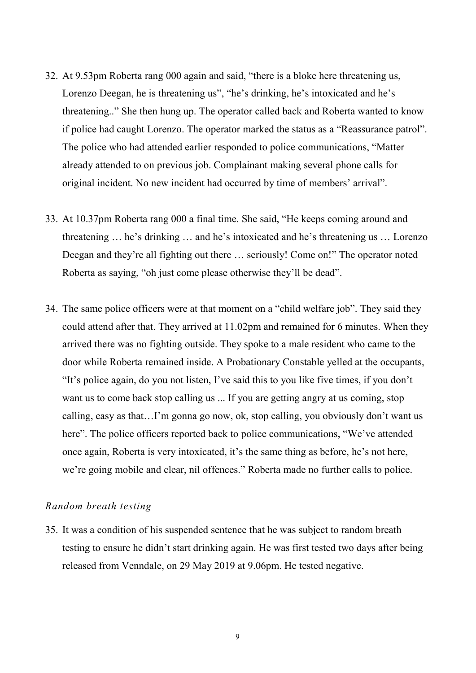- 32. At 9.53pm Roberta rang 000 again and said, "there is a bloke here threatening us, Lorenzo Deegan, he is threatening us", "he's drinking, he's intoxicated and he's threatening.." She then hung up. The operator called back and Roberta wanted to know if police had caught Lorenzo. The operator marked the status as a "Reassurance patrol". The police who had attended earlier responded to police communications, "Matter already attended to on previous job. Complainant making several phone calls for original incident. No new incident had occurred by time of members' arrival".
- 33. At 10.37pm Roberta rang 000 a final time. She said, "He keeps coming around and threatening … he's drinking … and he's intoxicated and he's threatening us … Lorenzo Deegan and they're all fighting out there … seriously! Come on!" The operator noted Roberta as saying, "oh just come please otherwise they'll be dead".
- 34. The same police officers were at that moment on a "child welfare job". They said they could attend after that. They arrived at 11.02pm and remained for 6 minutes. When they arrived there was no fighting outside. They spoke to a male resident who came to the door while Roberta remained inside. A Probationary Constable yelled at the occupants, "It's police again, do you not listen, I've said this to you like five times, if you don't want us to come back stop calling us ... If you are getting angry at us coming, stop calling, easy as that…I'm gonna go now, ok, stop calling, you obviously don't want us here". The police officers reported back to police communications, "We've attended once again, Roberta is very intoxicated, it's the same thing as before, he's not here, we're going mobile and clear, nil offences." Roberta made no further calls to police.

#### *Random breath testing*

35. It was a condition of his suspended sentence that he was subject to random breath testing to ensure he didn't start drinking again. He was first tested two days after being released from Venndale, on 29 May 2019 at 9.06pm. He tested negative.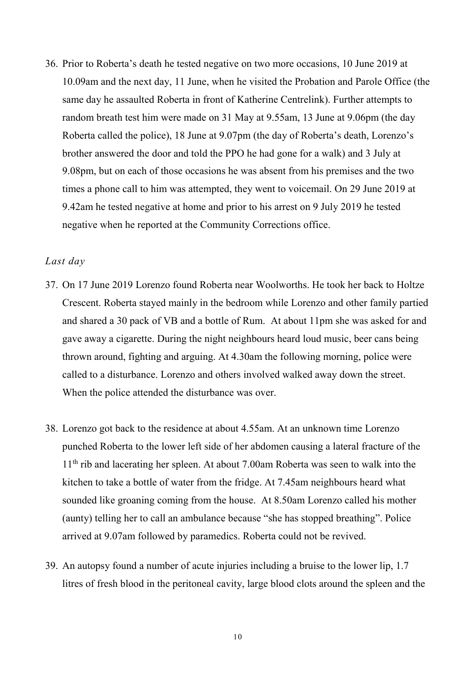36. Prior to Roberta's death he tested negative on two more occasions, 10 June 2019 at 10.09am and the next day, 11 June, when he visited the Probation and Parole Office (the same day he assaulted Roberta in front of Katherine Centrelink). Further attempts to random breath test him were made on 31 May at 9.55am, 13 June at 9.06pm (the day Roberta called the police), 18 June at 9.07pm (the day of Roberta's death, Lorenzo's brother answered the door and told the PPO he had gone for a walk) and 3 July at 9.08pm, but on each of those occasions he was absent from his premises and the two times a phone call to him was attempted, they went to voicemail. On 29 June 2019 at 9.42am he tested negative at home and prior to his arrest on 9 July 2019 he tested negative when he reported at the Community Corrections office.

## *Last day*

- 37. On 17 June 2019 Lorenzo found Roberta near Woolworths. He took her back to Holtze Crescent. Roberta stayed mainly in the bedroom while Lorenzo and other family partied and shared a 30 pack of VB and a bottle of Rum. At about 11pm she was asked for and gave away a cigarette. During the night neighbours heard loud music, beer cans being thrown around, fighting and arguing. At 4.30am the following morning, police were called to a disturbance. Lorenzo and others involved walked away down the street. When the police attended the disturbance was over.
- 38. Lorenzo got back to the residence at about 4.55am. At an unknown time Lorenzo punched Roberta to the lower left side of her abdomen causing a lateral fracture of the 11<sup>th</sup> rib and lacerating her spleen. At about 7.00am Roberta was seen to walk into the kitchen to take a bottle of water from the fridge. At 7.45am neighbours heard what sounded like groaning coming from the house. At 8.50am Lorenzo called his mother (aunty) telling her to call an ambulance because "she has stopped breathing". Police arrived at 9.07am followed by paramedics. Roberta could not be revived.
- 39. An autopsy found a number of acute injuries including a bruise to the lower lip, 1.7 litres of fresh blood in the peritoneal cavity, large blood clots around the spleen and the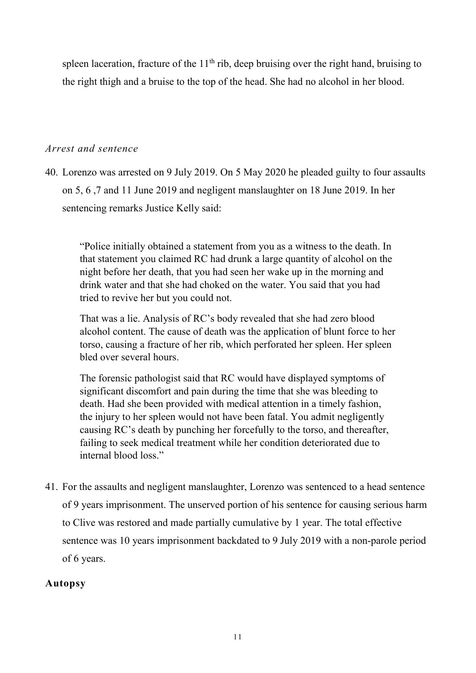spleen laceration, fracture of the  $11<sup>th</sup>$  rib, deep bruising over the right hand, bruising to the right thigh and a bruise to the top of the head. She had no alcohol in her blood.

# *Arrest and sentence*

40. Lorenzo was arrested on 9 July 2019. On 5 May 2020 he pleaded guilty to four assaults on 5, 6 ,7 and 11 June 2019 and negligent manslaughter on 18 June 2019. In her sentencing remarks Justice Kelly said:

"Police initially obtained a statement from you as a witness to the death. In that statement you claimed RC had drunk a large quantity of alcohol on the night before her death, that you had seen her wake up in the morning and drink water and that she had choked on the water. You said that you had tried to revive her but you could not.

That was a lie. Analysis of RC's body revealed that she had zero blood alcohol content. The cause of death was the application of blunt force to her torso, causing a fracture of her rib, which perforated her spleen. Her spleen bled over several hours.

The forensic pathologist said that RC would have displayed symptoms of significant discomfort and pain during the time that she was bleeding to death. Had she been provided with medical attention in a timely fashion, the injury to her spleen would not have been fatal. You admit negligently causing RC's death by punching her forcefully to the torso, and thereafter, failing to seek medical treatment while her condition deteriorated due to internal blood loss."

41. For the assaults and negligent manslaughter, Lorenzo was sentenced to a head sentence of 9 years imprisonment. The unserved portion of his sentence for causing serious harm to Clive was restored and made partially cumulative by 1 year. The total effective sentence was 10 years imprisonment backdated to 9 July 2019 with a non-parole period of 6 years.

# **Autopsy**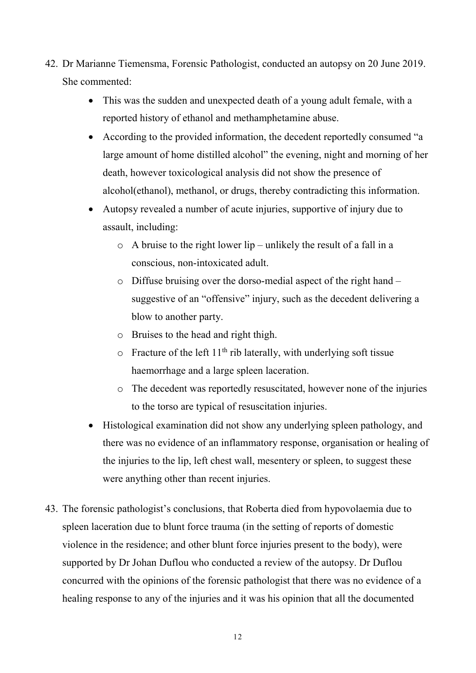- 42. Dr Marianne Tiemensma, Forensic Pathologist, conducted an autopsy on 20 June 2019. She commented:
	- This was the sudden and unexpected death of a young adult female, with a reported history of ethanol and methamphetamine abuse.
	- According to the provided information, the decedent reportedly consumed "a large amount of home distilled alcohol" the evening, night and morning of her death, however toxicological analysis did not show the presence of alcohol(ethanol), methanol, or drugs, thereby contradicting this information.
	- Autopsy revealed a number of acute injuries, supportive of injury due to assault, including:
		- $\circ$  A bruise to the right lower lip unlikely the result of a fall in a conscious, non-intoxicated adult.
		- o Diffuse bruising over the dorso-medial aspect of the right hand suggestive of an "offensive" injury, such as the decedent delivering a blow to another party.
		- o Bruises to the head and right thigh.
		- $\circ$  Fracture of the left 11<sup>th</sup> rib laterally, with underlying soft tissue haemorrhage and a large spleen laceration.
		- o The decedent was reportedly resuscitated, however none of the injuries to the torso are typical of resuscitation injuries.
	- Histological examination did not show any underlying spleen pathology, and there was no evidence of an inflammatory response, organisation or healing of the injuries to the lip, left chest wall, mesentery or spleen, to suggest these were anything other than recent injuries.
- 43. The forensic pathologist's conclusions, that Roberta died from hypovolaemia due to spleen laceration due to blunt force trauma (in the setting of reports of domestic violence in the residence; and other blunt force injuries present to the body), were supported by Dr Johan Duflou who conducted a review of the autopsy. Dr Duflou concurred with the opinions of the forensic pathologist that there was no evidence of a healing response to any of the injuries and it was his opinion that all the documented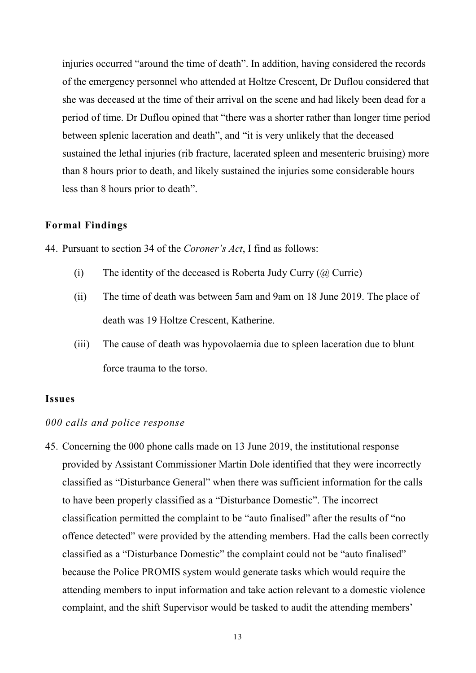injuries occurred "around the time of death". In addition, having considered the records of the emergency personnel who attended at Holtze Crescent, Dr Duflou considered that she was deceased at the time of their arrival on the scene and had likely been dead for a period of time. Dr Duflou opined that "there was a shorter rather than longer time period between splenic laceration and death", and "it is very unlikely that the deceased sustained the lethal injuries (rib fracture, lacerated spleen and mesenteric bruising) more than 8 hours prior to death, and likely sustained the injuries some considerable hours less than 8 hours prior to death".

## **Formal Findings**

44. Pursuant to section 34 of the *Coroner's Act*, I find as follows:

- (i) The identity of the deceased is Roberta Judy Curry  $(\varpi)$  Currie)
- (ii) The time of death was between 5am and 9am on 18 June 2019. The place of death was 19 Holtze Crescent, Katherine.
- (iii) The cause of death was hypovolaemia due to spleen laceration due to blunt force trauma to the torso.

### **Issues**

#### *000 calls and police response*

45. Concerning the 000 phone calls made on 13 June 2019, the institutional response provided by Assistant Commissioner Martin Dole identified that they were incorrectly classified as "Disturbance General" when there was sufficient information for the calls to have been properly classified as a "Disturbance Domestic". The incorrect classification permitted the complaint to be "auto finalised" after the results of "no offence detected" were provided by the attending members. Had the calls been correctly classified as a "Disturbance Domestic" the complaint could not be "auto finalised" because the Police PROMIS system would generate tasks which would require the attending members to input information and take action relevant to a domestic violence complaint, and the shift Supervisor would be tasked to audit the attending members'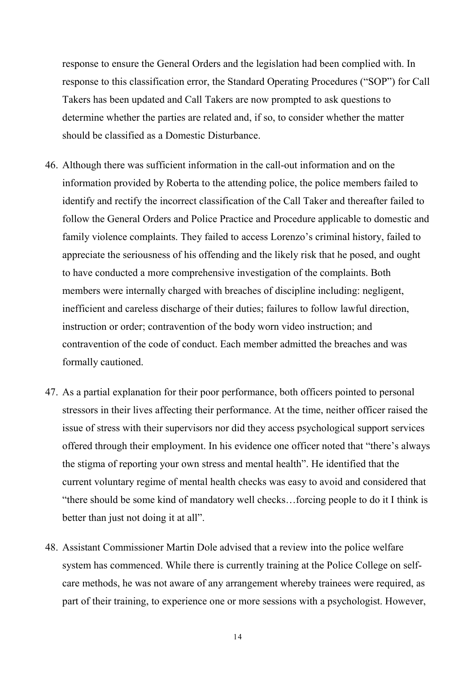response to ensure the General Orders and the legislation had been complied with. In response to this classification error, the Standard Operating Procedures ("SOP") for Call Takers has been updated and Call Takers are now prompted to ask questions to determine whether the parties are related and, if so, to consider whether the matter should be classified as a Domestic Disturbance.

- 46. Although there was sufficient information in the call-out information and on the information provided by Roberta to the attending police, the police members failed to identify and rectify the incorrect classification of the Call Taker and thereafter failed to follow the General Orders and Police Practice and Procedure applicable to domestic and family violence complaints. They failed to access Lorenzo's criminal history, failed to appreciate the seriousness of his offending and the likely risk that he posed, and ought to have conducted a more comprehensive investigation of the complaints. Both members were internally charged with breaches of discipline including: negligent, inefficient and careless discharge of their duties; failures to follow lawful direction, instruction or order; contravention of the body worn video instruction; and contravention of the code of conduct. Each member admitted the breaches and was formally cautioned.
- 47. As a partial explanation for their poor performance, both officers pointed to personal stressors in their lives affecting their performance. At the time, neither officer raised the issue of stress with their supervisors nor did they access psychological support services offered through their employment. In his evidence one officer noted that "there's always the stigma of reporting your own stress and mental health". He identified that the current voluntary regime of mental health checks was easy to avoid and considered that "there should be some kind of mandatory well checks…forcing people to do it I think is better than just not doing it at all".
- 48. Assistant Commissioner Martin Dole advised that a review into the police welfare system has commenced. While there is currently training at the Police College on selfcare methods, he was not aware of any arrangement whereby trainees were required, as part of their training, to experience one or more sessions with a psychologist. However,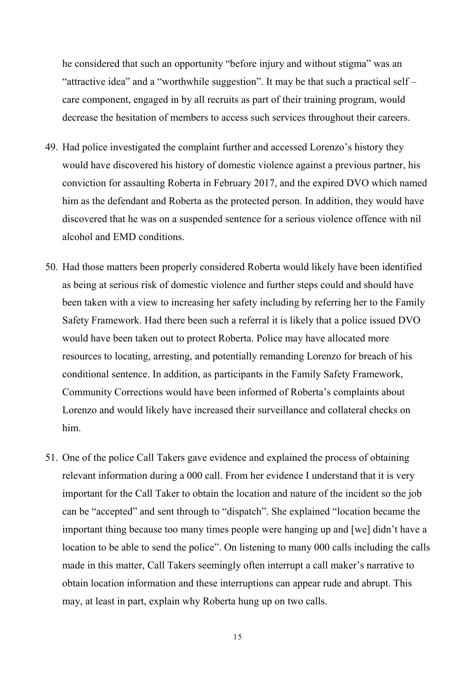he considered that such an opportunity "before injury and without stigma" was an "attractive idea" and a "worthwhile suggestion". It may be that such a practical self – care component, engaged in by all recruits as part of their training program, would decrease the hesitation of members to access such services throughout their careers.

- 49. Had police investigated the complaint further and accessed Lorenzo's history they would have discovered his history of domestic violence against a previous partner, his conviction for assaulting Roberta in February 2017, and the expired DVO which named him as the defendant and Roberta as the protected person. In addition, they would have discovered that he was on a suspended sentence for a serious violence offence with nil alcohol and EMD conditions.
- 50. Had those matters been properly considered Roberta would likely have been identified as being at serious risk of domestic violence and further steps could and should have been taken with a view to increasing her safety including by referring her to the Family Safety Framework. Had there been such a referral it is likely that a police issued DVO would have been taken out to protect Roberta. Police may have allocated more resources to locating, arresting, and potentially remanding Lorenzo for breach of his conditional sentence. In addition, as participants in the Family Safety Framework, Community Corrections would have been informed of Roberta's complaints about Lorenzo and would likely have increased their surveillance and collateral checks on him.
- 51. One of the police Call Takers gave evidence and explained the process of obtaining relevant information during a 000 call. From her evidence I understand that it is very important for the Call Taker to obtain the location and nature of the incident so the job can be "accepted" and sent through to "dispatch". She explained "location became the important thing because too many times people were hanging up and [we] didn't have a location to be able to send the police". On listening to many 000 calls including the calls made in this matter, Call Takers seemingly often interrupt a call maker's narrative to obtain location information and these interruptions can appear rude and abrupt. This may, at least in part, explain why Roberta hung up on two calls.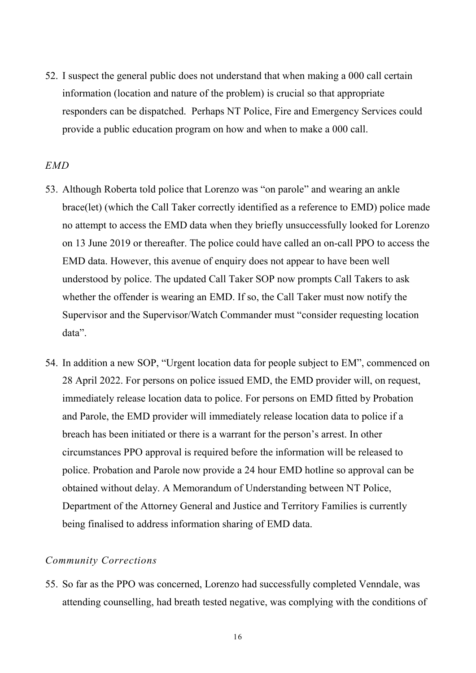52. I suspect the general public does not understand that when making a 000 call certain information (location and nature of the problem) is crucial so that appropriate responders can be dispatched. Perhaps NT Police, Fire and Emergency Services could provide a public education program on how and when to make a 000 call.

## *EMD*

- 53. Although Roberta told police that Lorenzo was "on parole" and wearing an ankle brace(let) (which the Call Taker correctly identified as a reference to EMD) police made no attempt to access the EMD data when they briefly unsuccessfully looked for Lorenzo on 13 June 2019 or thereafter. The police could have called an on-call PPO to access the EMD data. However, this avenue of enquiry does not appear to have been well understood by police. The updated Call Taker SOP now prompts Call Takers to ask whether the offender is wearing an EMD. If so, the Call Taker must now notify the Supervisor and the Supervisor/Watch Commander must "consider requesting location data".
- 54. In addition a new SOP, "Urgent location data for people subject to EM", commenced on 28 April 2022. For persons on police issued EMD, the EMD provider will, on request, immediately release location data to police. For persons on EMD fitted by Probation and Parole, the EMD provider will immediately release location data to police if a breach has been initiated or there is a warrant for the person's arrest. In other circumstances PPO approval is required before the information will be released to police. Probation and Parole now provide a 24 hour EMD hotline so approval can be obtained without delay. A Memorandum of Understanding between NT Police, Department of the Attorney General and Justice and Territory Families is currently being finalised to address information sharing of EMD data.

## *Community Corrections*

55. So far as the PPO was concerned, Lorenzo had successfully completed Venndale, was attending counselling, had breath tested negative, was complying with the conditions of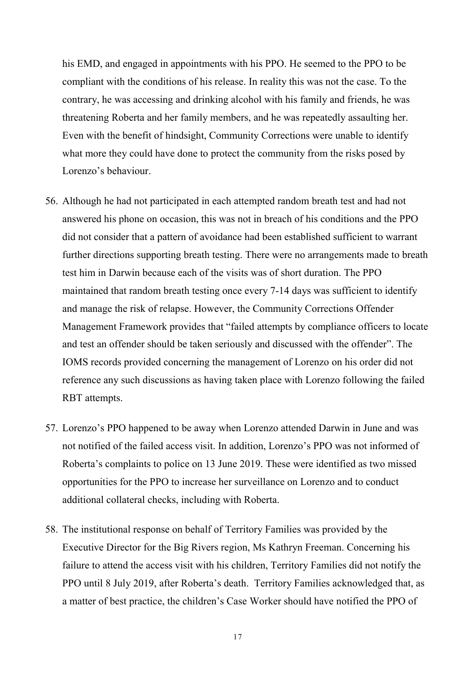his EMD, and engaged in appointments with his PPO. He seemed to the PPO to be compliant with the conditions of his release. In reality this was not the case. To the contrary, he was accessing and drinking alcohol with his family and friends, he was threatening Roberta and her family members, and he was repeatedly assaulting her. Even with the benefit of hindsight, Community Corrections were unable to identify what more they could have done to protect the community from the risks posed by Lorenzo's behaviour.

- 56. Although he had not participated in each attempted random breath test and had not answered his phone on occasion, this was not in breach of his conditions and the PPO did not consider that a pattern of avoidance had been established sufficient to warrant further directions supporting breath testing. There were no arrangements made to breath test him in Darwin because each of the visits was of short duration. The PPO maintained that random breath testing once every 7-14 days was sufficient to identify and manage the risk of relapse. However, the Community Corrections Offender Management Framework provides that "failed attempts by compliance officers to locate and test an offender should be taken seriously and discussed with the offender". The IOMS records provided concerning the management of Lorenzo on his order did not reference any such discussions as having taken place with Lorenzo following the failed RBT attempts.
- 57. Lorenzo's PPO happened to be away when Lorenzo attended Darwin in June and was not notified of the failed access visit. In addition, Lorenzo's PPO was not informed of Roberta's complaints to police on 13 June 2019. These were identified as two missed opportunities for the PPO to increase her surveillance on Lorenzo and to conduct additional collateral checks, including with Roberta.
- 58. The institutional response on behalf of Territory Families was provided by the Executive Director for the Big Rivers region, Ms Kathryn Freeman. Concerning his failure to attend the access visit with his children, Territory Families did not notify the PPO until 8 July 2019, after Roberta's death. Territory Families acknowledged that, as a matter of best practice, the children's Case Worker should have notified the PPO of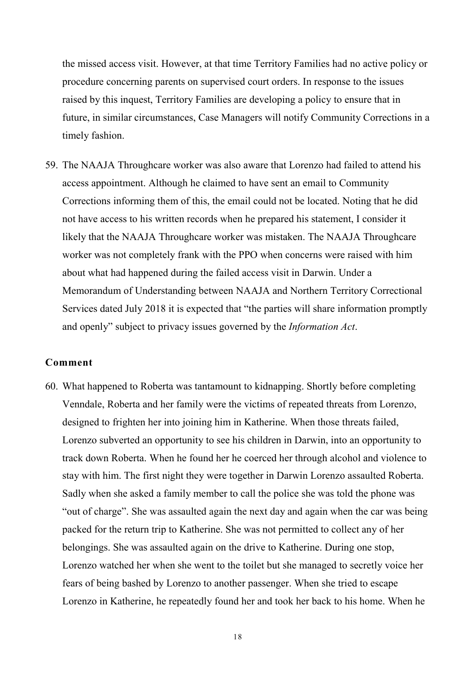the missed access visit. However, at that time Territory Families had no active policy or procedure concerning parents on supervised court orders. In response to the issues raised by this inquest, Territory Families are developing a policy to ensure that in future, in similar circumstances, Case Managers will notify Community Corrections in a timely fashion.

59. The NAAJA Throughcare worker was also aware that Lorenzo had failed to attend his access appointment. Although he claimed to have sent an email to Community Corrections informing them of this, the email could not be located. Noting that he did not have access to his written records when he prepared his statement, I consider it likely that the NAAJA Throughcare worker was mistaken. The NAAJA Throughcare worker was not completely frank with the PPO when concerns were raised with him about what had happened during the failed access visit in Darwin. Under a Memorandum of Understanding between NAAJA and Northern Territory Correctional Services dated July 2018 it is expected that "the parties will share information promptly and openly" subject to privacy issues governed by the *Information Act*.

#### **Comment**

60. What happened to Roberta was tantamount to kidnapping. Shortly before completing Venndale, Roberta and her family were the victims of repeated threats from Lorenzo, designed to frighten her into joining him in Katherine. When those threats failed, Lorenzo subverted an opportunity to see his children in Darwin, into an opportunity to track down Roberta. When he found her he coerced her through alcohol and violence to stay with him. The first night they were together in Darwin Lorenzo assaulted Roberta. Sadly when she asked a family member to call the police she was told the phone was "out of charge". She was assaulted again the next day and again when the car was being packed for the return trip to Katherine. She was not permitted to collect any of her belongings. She was assaulted again on the drive to Katherine. During one stop, Lorenzo watched her when she went to the toilet but she managed to secretly voice her fears of being bashed by Lorenzo to another passenger. When she tried to escape Lorenzo in Katherine, he repeatedly found her and took her back to his home. When he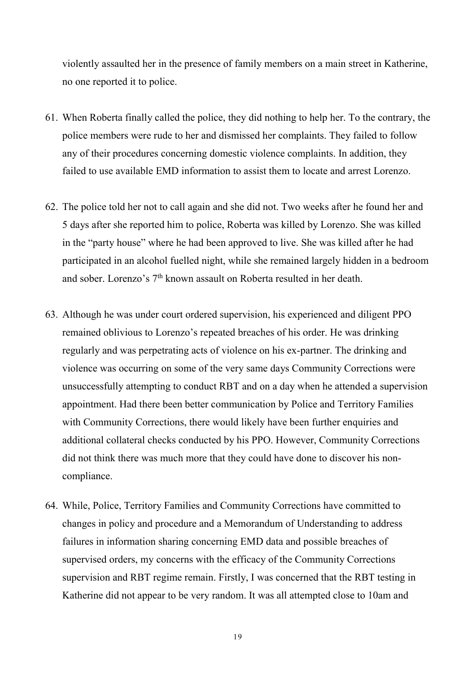violently assaulted her in the presence of family members on a main street in Katherine, no one reported it to police.

- 61. When Roberta finally called the police, they did nothing to help her. To the contrary, the police members were rude to her and dismissed her complaints. They failed to follow any of their procedures concerning domestic violence complaints. In addition, they failed to use available EMD information to assist them to locate and arrest Lorenzo.
- 62. The police told her not to call again and she did not. Two weeks after he found her and 5 days after she reported him to police, Roberta was killed by Lorenzo. She was killed in the "party house" where he had been approved to live. She was killed after he had participated in an alcohol fuelled night, while she remained largely hidden in a bedroom and sober. Lorenzo's 7<sup>th</sup> known assault on Roberta resulted in her death.
- 63. Although he was under court ordered supervision, his experienced and diligent PPO remained oblivious to Lorenzo's repeated breaches of his order. He was drinking regularly and was perpetrating acts of violence on his ex-partner. The drinking and violence was occurring on some of the very same days Community Corrections were unsuccessfully attempting to conduct RBT and on a day when he attended a supervision appointment. Had there been better communication by Police and Territory Families with Community Corrections, there would likely have been further enquiries and additional collateral checks conducted by his PPO. However, Community Corrections did not think there was much more that they could have done to discover his noncompliance.
- 64. While, Police, Territory Families and Community Corrections have committed to changes in policy and procedure and a Memorandum of Understanding to address failures in information sharing concerning EMD data and possible breaches of supervised orders, my concerns with the efficacy of the Community Corrections supervision and RBT regime remain. Firstly, I was concerned that the RBT testing in Katherine did not appear to be very random. It was all attempted close to 10am and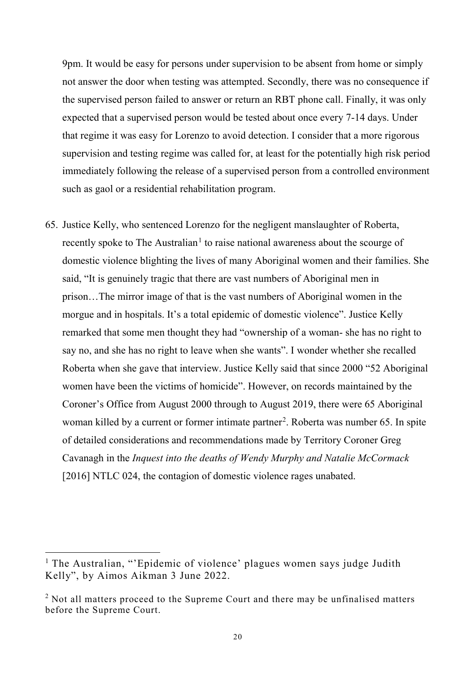9pm. It would be easy for persons under supervision to be absent from home or simply not answer the door when testing was attempted. Secondly, there was no consequence if the supervised person failed to answer or return an RBT phone call. Finally, it was only expected that a supervised person would be tested about once every 7-14 days. Under that regime it was easy for Lorenzo to avoid detection. I consider that a more rigorous supervision and testing regime was called for, at least for the potentially high risk period immediately following the release of a supervised person from a controlled environment such as gaol or a residential rehabilitation program.

65. Justice Kelly, who sentenced Lorenzo for the negligent manslaughter of Roberta, recently spoke to The Australian<sup>[1](#page-20-0)</sup> to raise national awareness about the scourge of domestic violence blighting the lives of many Aboriginal women and their families. She said, "It is genuinely tragic that there are vast numbers of Aboriginal men in prison…The mirror image of that is the vast numbers of Aboriginal women in the morgue and in hospitals. It's a total epidemic of domestic violence". Justice Kelly remarked that some men thought they had "ownership of a woman- she has no right to say no, and she has no right to leave when she wants". I wonder whether she recalled Roberta when she gave that interview. Justice Kelly said that since 2000 "52 Aboriginal women have been the victims of homicide". However, on records maintained by the Coroner's Office from August 2000 through to August 2019, there were 65 Aboriginal woman killed by a current or former intimate partner<sup>[2](#page-20-1)</sup>. Roberta was number 65. In spite of detailed considerations and recommendations made by Territory Coroner Greg Cavanagh in the *Inquest into the deaths of Wendy Murphy and Natalie McCormack*  [2016] NTLC 024, the contagion of domestic violence rages unabated.

<span id="page-20-0"></span><sup>&</sup>lt;sup>1</sup> The Australian, "'Epidemic of violence' plagues women says judge Judith Kelly", by Aimos Aikman 3 June 2022.

<span id="page-20-1"></span> $2$  Not all matters proceed to the Supreme Court and there may be unfinalised matters before the Supreme Court.